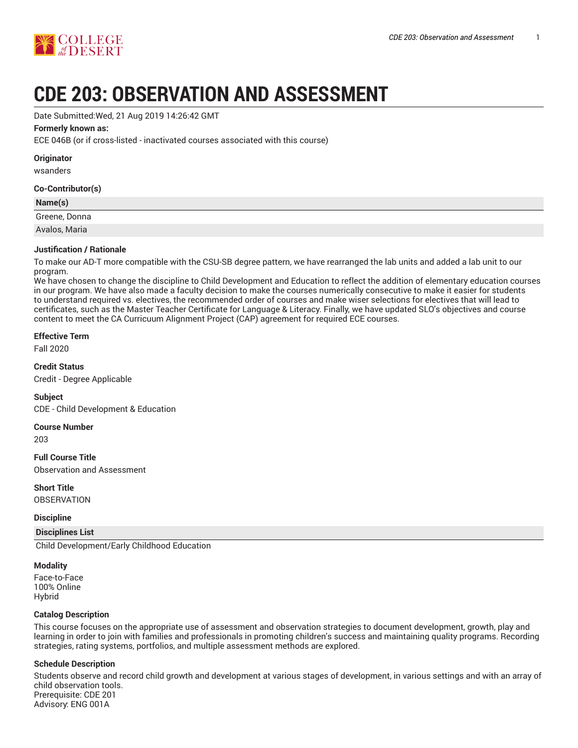

# **CDE 203: OBSERVATION AND ASSESSMENT**

Date Submitted:Wed, 21 Aug 2019 14:26:42 GMT

#### **Formerly known as:**

ECE 046B (or if cross-listed - inactivated courses associated with this course)

|  |  | Originator |  |
|--|--|------------|--|
|  |  |            |  |

wsanders

#### **Co-Contributor(s)**

| Name(s)       |  |
|---------------|--|
| Greene, Donna |  |
| Avalos, Maria |  |

#### **Justification / Rationale**

To make our AD-T more compatible with the CSU-SB degree pattern, we have rearranged the lab units and added a lab unit to our program.

We have chosen to change the discipline to Child Development and Education to reflect the addition of elementary education courses in our program. We have also made a faculty decision to make the courses numerically consecutive to make it easier for students to understand required vs. electives, the recommended order of courses and make wiser selections for electives that will lead to certificates, such as the Master Teacher Certificate for Language & Literacy. Finally, we have updated SLO's objectives and course content to meet the CA Curricuum Alignment Project (CAP) agreement for required ECE courses.

#### **Effective Term**

Fall 2020

**Credit Status** Credit - Degree Applicable

#### **Subject**

CDE - Child Development & Education

#### **Course Number**

203

**Full Course Title** Observation and Assessment

**Short Title OBSERVATION** 

#### **Discipline**

#### **Disciplines List**

Child Development/Early Childhood Education

#### **Modality**

Face-to-Face 100% Online Hybrid

#### **Catalog Description**

This course focuses on the appropriate use of assessment and observation strategies to document development, growth, play and learning in order to join with families and professionals in promoting children's success and maintaining quality programs. Recording strategies, rating systems, portfolios, and multiple assessment methods are explored.

#### **Schedule Description**

Students observe and record child growth and development at various stages of development, in various settings and with an array of child observation tools. Prerequisite: CDE 201 Advisory: ENG 001A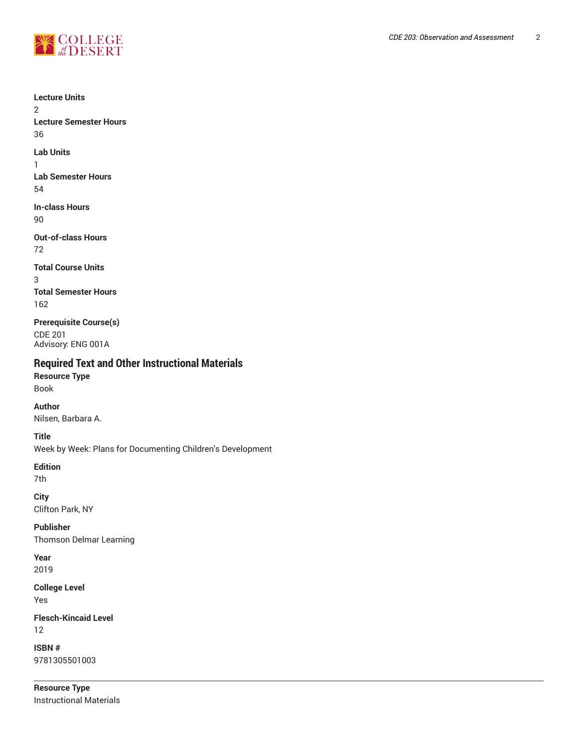

2

36

1

54

90

72

3

**Lecture Units Lecture Semester Hours Lab Units Lab Semester Hours In-class Hours Out-of-class Hours Total Course Units Total Semester Hours** 162 **Prerequisite Course(s)** CDE 201 Advisory: ENG 001A **Required Text and Other Instructional Materials Resource Type** Book **Author** Nilsen, Barbara A. **Title** Week by Week: Plans for Documenting Children's Development **Edition** 7th **City** Clifton Park, NY **Publisher** Thomson Delmar Learning **Year** 2019 **College Level**

Yes

**Flesch-Kincaid Level** 12

**ISBN #** 9781305501003

**Resource Type** Instructional Materials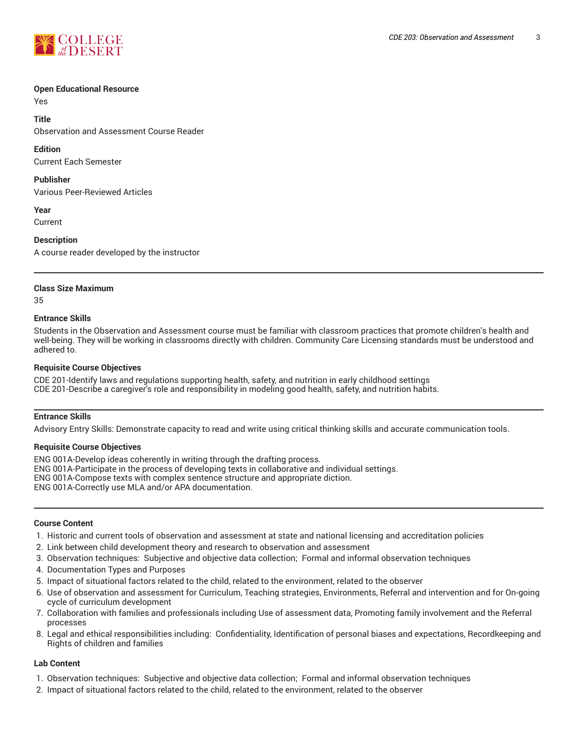

#### **Open Educational Resource**

Yes

**Title**

Observation and Assessment Course Reader

#### **Edition**

Current Each Semester

#### **Publisher**

Various Peer-Reviewed Articles

**Year**

Current

#### **Description**

A course reader developed by the instructor

#### **Class Size Maximum**

35

#### **Entrance Skills**

Students in the Observation and Assessment course must be familiar with classroom practices that promote children's health and well-being. They will be working in classrooms directly with children. Community Care Licensing standards must be understood and adhered to.

#### **Requisite Course Objectives**

CDE 201-Identify laws and regulations supporting health, safety, and nutrition in early childhood settings CDE 201-Describe a caregiver's role and responsibility in modeling good health, safety, and nutrition habits.

#### **Entrance Skills**

Advisory Entry Skills: Demonstrate capacity to read and write using critical thinking skills and accurate communication tools.

#### **Requisite Course Objectives**

ENG 001A-Develop ideas coherently in writing through the drafting process. ENG 001A-Participate in the process of developing texts in collaborative and individual settings. ENG 001A-Compose texts with complex sentence structure and appropriate diction. ENG 001A-Correctly use MLA and/or APA documentation.

#### **Course Content**

- 1. Historic and current tools of observation and assessment at state and national licensing and accreditation policies
- 2. Link between child development theory and research to observation and assessment
- 3. Observation techniques: Subjective and objective data collection; Formal and informal observation techniques
- 4. Documentation Types and Purposes
- 5. Impact of situational factors related to the child, related to the environment, related to the observer
- 6. Use of observation and assessment for Curriculum, Teaching strategies, Environments, Referral and intervention and for On-going cycle of curriculum development
- 7. Collaboration with families and professionals including Use of assessment data, Promoting family involvement and the Referral processes
- 8. Legal and ethical responsibilities including: Confidentiality, Identification of personal biases and expectations, Recordkeeping and Rights of children and families

#### **Lab Content**

- 1. Observation techniques: Subjective and objective data collection; Formal and informal observation techniques
- 2. Impact of situational factors related to the child, related to the environment, related to the observer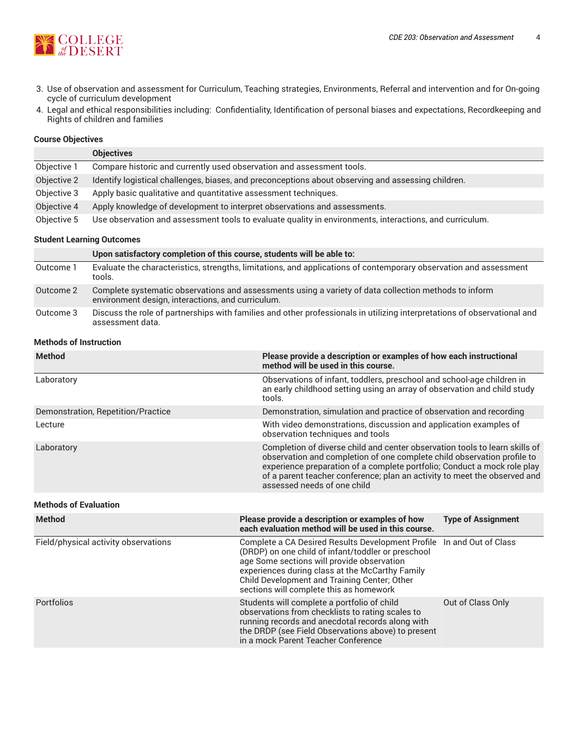

- 3. Use of observation and assessment for Curriculum, Teaching strategies, Environments, Referral and intervention and for On-going cycle of curriculum development
- 4. Legal and ethical responsibilities including: Confidentiality, Identification of personal biases and expectations, Recordkeeping and Rights of children and families

#### **Course Objectives**

|             | <b>Objectives</b>                                                                                       |
|-------------|---------------------------------------------------------------------------------------------------------|
| Objective 1 | Compare historic and currently used observation and assessment tools.                                   |
| Objective 2 | Identify logistical challenges, biases, and preconceptions about observing and assessing children.      |
| Objective 3 | Apply basic qualitative and quantitative assessment techniques.                                         |
| Objective 4 | Apply knowledge of development to interpret observations and assessments.                               |
| Objective 5 | Use observation and assessment tools to evaluate quality in environments, interactions, and curriculum. |

#### **Student Learning Outcomes**

|           | Upon satisfactory completion of this course, students will be able to:                                                                                     |
|-----------|------------------------------------------------------------------------------------------------------------------------------------------------------------|
| Outcome 1 | Evaluate the characteristics, strengths, limitations, and applications of contemporary observation and assessment<br>tools.                                |
| Outcome 2 | Complete systematic observations and assessments using a variety of data collection methods to inform<br>environment design, interactions, and curriculum. |
| Outcome 3 | Discuss the role of partnerships with families and other professionals in utilizing interpretations of observational and<br>assessment data.               |

#### **Methods of Instruction**

| <b>Method</b>                      | Please provide a description or examples of how each instructional<br>method will be used in this course.                                                                                                                                                                                                                                      |
|------------------------------------|------------------------------------------------------------------------------------------------------------------------------------------------------------------------------------------------------------------------------------------------------------------------------------------------------------------------------------------------|
| Laboratory                         | Observations of infant, toddlers, preschool and school-age children in<br>an early childhood setting using an array of observation and child study<br>tools.                                                                                                                                                                                   |
| Demonstration, Repetition/Practice | Demonstration, simulation and practice of observation and recording                                                                                                                                                                                                                                                                            |
| Lecture                            | With video demonstrations, discussion and application examples of<br>observation techniques and tools                                                                                                                                                                                                                                          |
| Laboratory                         | Completion of diverse child and center observation tools to learn skills of<br>observation and completion of one complete child observation profile to<br>experience preparation of a complete portfolio; Conduct a mock role play<br>of a parent teacher conference; plan an activity to meet the observed and<br>assessed needs of one child |

### **Methods of Evaluation**

| <b>Method</b>                        | Please provide a description or examples of how<br>each evaluation method will be used in this course.                                                                                                                                                                                                                  | <b>Type of Assignment</b> |
|--------------------------------------|-------------------------------------------------------------------------------------------------------------------------------------------------------------------------------------------------------------------------------------------------------------------------------------------------------------------------|---------------------------|
| Field/physical activity observations | Complete a CA Desired Results Development Profile In and Out of Class<br>(DRDP) on one child of infant/toddler or preschool<br>age Some sections will provide observation<br>experiences during class at the McCarthy Family<br>Child Development and Training Center; Other<br>sections will complete this as homework |                           |
| Portfolios                           | Students will complete a portfolio of child<br>observations from checklists to rating scales to<br>running records and anecdotal records along with<br>the DRDP (see Field Observations above) to present<br>in a mock Parent Teacher Conference                                                                        | Out of Class Only         |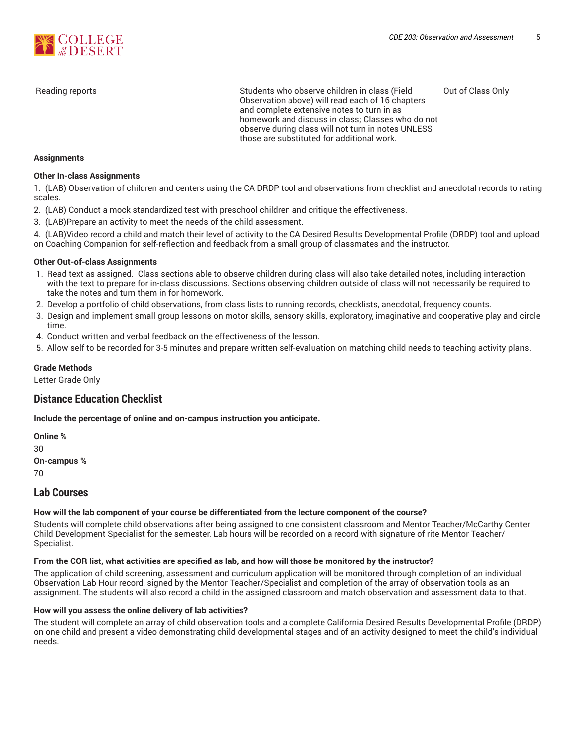

Reading reports **Students who observe children in class (Field**) Students who observe children in class (Field Observation above) will read each of 16 chapters and complete extensive notes to turn in as homework and discuss in class; Classes who do not observe during class will not turn in notes UNLESS those are substituted for additional work. Out of Class Only

#### **Assignments**

#### **Other In-class Assignments**

1. (LAB) Observation of children and centers using the CA DRDP tool and observations from checklist and anecdotal records to rating scales.

- 2. (LAB) Conduct a mock standardized test with preschool children and critique the effectiveness.
- 3. (LAB)Prepare an activity to meet the needs of the child assessment.

4. (LAB)Video record a child and match their level of activity to the CA Desired Results Developmental Profile (DRDP) tool and upload

on Coaching Companion for self-reflection and feedback from a small group of classmates and the instructor.

#### **Other Out-of-class Assignments**

- 1. Read text as assigned. Class sections able to observe children during class will also take detailed notes, including interaction with the text to prepare for in-class discussions. Sections observing children outside of class will not necessarily be required to take the notes and turn them in for homework.
- 2. Develop a portfolio of child observations, from class lists to running records, checklists, anecdotal, frequency counts.
- 3. Design and implement small group lessons on motor skills, sensory skills, exploratory, imaginative and cooperative play and circle time.
- 4. Conduct written and verbal feedback on the effectiveness of the lesson.
- 5. Allow self to be recorded for 3-5 minutes and prepare written self-evaluation on matching child needs to teaching activity plans.

#### **Grade Methods**

Letter Grade Only

## **Distance Education Checklist**

**Include the percentage of online and on-campus instruction you anticipate.**

**Online %** 30 **On-campus %** 70

## **Lab Courses**

#### **How will the lab component of your course be differentiated from the lecture component of the course?**

Students will complete child observations after being assigned to one consistent classroom and Mentor Teacher/McCarthy Center Child Development Specialist for the semester. Lab hours will be recorded on a record with signature of rite Mentor Teacher/ Specialist.

#### From the COR list, what activities are specified as lab, and how will those be monitored by the instructor?

The application of child screening, assessment and curriculum application will be monitored through completion of an individual Observation Lab Hour record, signed by the Mentor Teacher/Specialist and completion of the array of observation tools as an assignment. The students will also record a child in the assigned classroom and match observation and assessment data to that.

#### **How will you assess the online delivery of lab activities?**

The student will complete an array of child observation tools and a complete California Desired Results Developmental Profile (DRDP) on one child and present a video demonstrating child developmental stages and of an activity designed to meet the child's individual needs.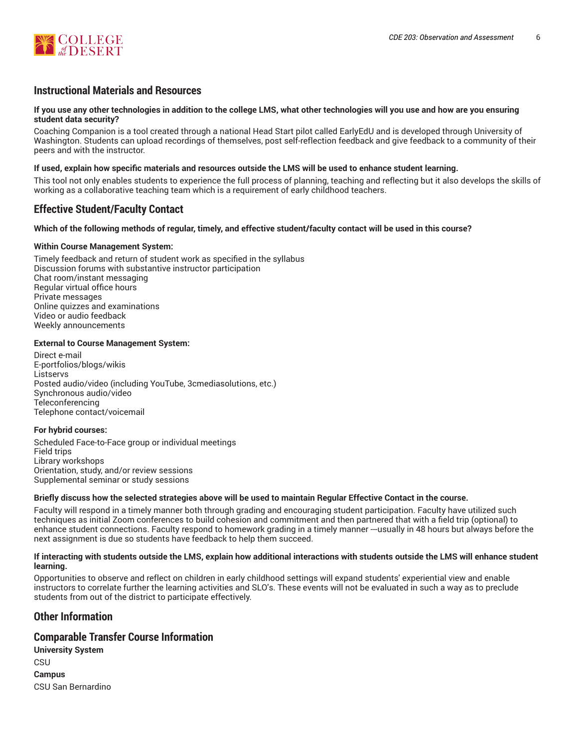

## **Instructional Materials and Resources**

#### If you use any other technologies in addition to the college LMS, what other technologies will you use and how are you ensuring **student data security?**

Coaching Companion is a tool created through a national Head Start pilot called EarlyEdU and is developed through University of Washington. Students can upload recordings of themselves, post self-reflection feedback and give feedback to a community of their peers and with the instructor.

#### **If used, explain how specific materials and resources outside the LMS will be used to enhance student learning.**

This tool not only enables students to experience the full process of planning, teaching and reflecting but it also develops the skills of working as a collaborative teaching team which is a requirement of early childhood teachers.

## **Effective Student/Faculty Contact**

#### Which of the following methods of regular, timely, and effective student/faculty contact will be used in this course?

#### **Within Course Management System:**

Timely feedback and return of student work as specified in the syllabus Discussion forums with substantive instructor participation Chat room/instant messaging Regular virtual office hours Private messages Online quizzes and examinations Video or audio feedback Weekly announcements

#### **External to Course Management System:**

Direct e-mail E-portfolios/blogs/wikis Listservs Posted audio/video (including YouTube, 3cmediasolutions, etc.) Synchronous audio/video Teleconferencing Telephone contact/voicemail

#### **For hybrid courses:**

Scheduled Face-to-Face group or individual meetings Field trips Library workshops Orientation, study, and/or review sessions Supplemental seminar or study sessions

#### Briefly discuss how the selected strategies above will be used to maintain Regular Effective Contact in the course.

Faculty will respond in a timely manner both through grading and encouraging student participation. Faculty have utilized such techniques as initial Zoom conferences to build cohesion and commitment and then partnered that with a field trip (optional) to enhance student connections. Faculty respond to homework grading in a timely manner ---usually in 48 hours but always before the next assignment is due so students have feedback to help them succeed.

#### **If interacting with students outside the LMS, explain how additional interactions with students outside the LMS will enhance student learning.**

Opportunities to observe and reflect on children in early childhood settings will expand students' experiential view and enable instructors to correlate further the learning activities and SLO's. These events will not be evaluated in such a way as to preclude students from out of the district to participate effectively.

## **Other Information**

#### **Comparable Transfer Course Information**

| <b>University System</b> |  |  |  |  |
|--------------------------|--|--|--|--|
| CSU                      |  |  |  |  |
| Campus                   |  |  |  |  |
| CSU San Bernardino       |  |  |  |  |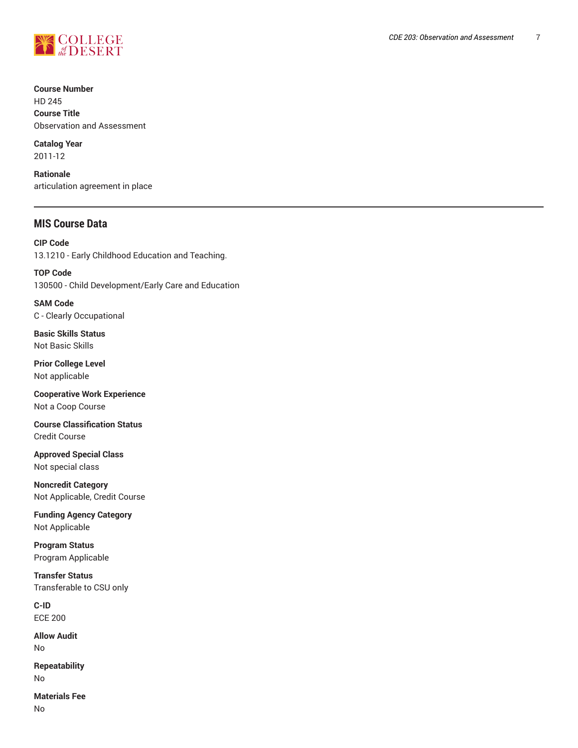

**Course Number**

HD 245 **Course Title** Observation and Assessment

**Catalog Year** 2011-12

**Rationale** articulation agreement in place

# **MIS Course Data**

**CIP Code** 13.1210 - Early Childhood Education and Teaching.

**TOP Code** 130500 - Child Development/Early Care and Education

**SAM Code** C - Clearly Occupational

**Basic Skills Status** Not Basic Skills

**Prior College Level** Not applicable

**Cooperative Work Experience** Not a Coop Course

**Course Classification Status** Credit Course

**Approved Special Class** Not special class

**Noncredit Category** Not Applicable, Credit Course

**Funding Agency Category** Not Applicable

**Program Status** Program Applicable

**Transfer Status** Transferable to CSU only

**C-ID** ECE 200

**Allow Audit** No

**Repeatability** No

**Materials Fee** No